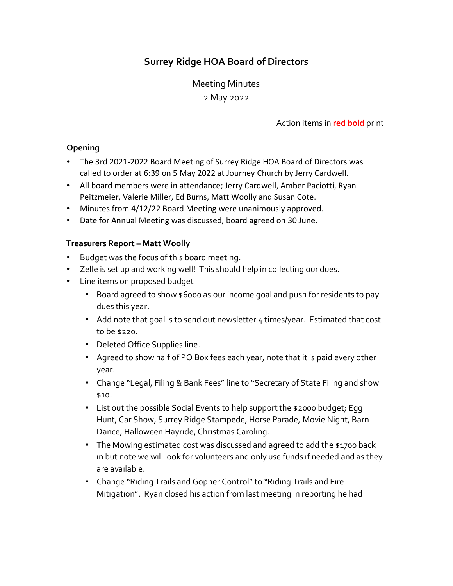# **Surrey Ridge HOA Board of Directors**

Meeting Minutes 2 May 2022

Action items in **red bold** print

### **Opening**

- The 3rd 2021-2022 Board Meeting of Surrey Ridge HOA Board of Directors was called to order at 6:39 on 5 May 2022 at Journey Church by Jerry Cardwell.
- All board members were in attendance; Jerry Cardwell, Amber Paciotti, Ryan Peitzmeier, Valerie Miller, Ed Burns, Matt Woolly and Susan Cote.
- Minutes from 4/12/22 Board Meeting were unanimously approved.
- Date for Annual Meeting was discussed, board agreed on 30 June.

## **Treasurers Report – Matt Woolly**

- Budget was the focus of this board meeting.
- Zelle is set up and working well! This should help in collecting our dues.
- Line items on proposed budget
	- Board agreed to show \$6000 as our income goal and push for residents to pay dues this year.
	- Add note that goal is to send out newsletter 4 times/year. Estimated that cost to be \$220.
	- Deleted Office Supplies line.
	- Agreed to show half of PO Box fees each year, note that it is paid every other year.
	- Change "Legal, Filing & Bank Fees" line to "Secretary of State Filing and show \$10.
	- List out the possible Social Events to help support the \$2000 budget; Egg Hunt, Car Show, Surrey Ridge Stampede, Horse Parade, Movie Night, Barn Dance, Halloween Hayride, Christmas Caroling.
	- The Mowing estimated cost was discussed and agreed to add the \$1700 back in but note we will look for volunteers and only use funds if needed and as they are available.
	- Change "Riding Trails and Gopher Control" to "Riding Trails and Fire Mitigation". Ryan closed his action from last meeting in reporting he had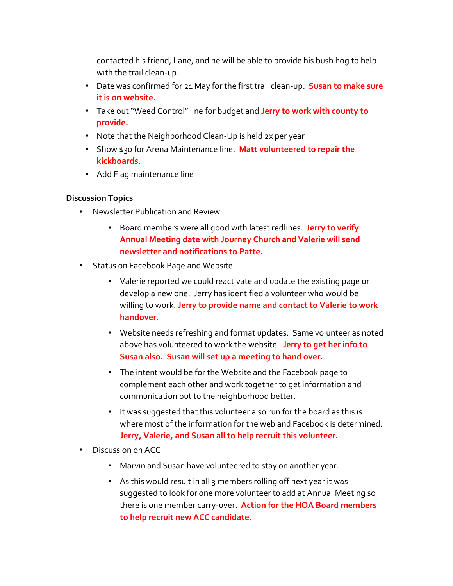contacted his friend, Lane, and he will be able to provide his bush hog to help with the trail clean-up.

- Date was confirmed for 21 May for the first trail clean-up. **Susan to make sure it is on website.**
- Take out "Weed Control" line for budget and **Jerry to work with county to provide.**
- Note that the Neighborhood Clean-Up is held 2x per year
- Show \$30 for Arena Maintenance line. **Matt volunteered to repair the kickboards.**
- Add Flag maintenance line

## **Discussion Topics**

- Newsletter Publication and Review
	- Board members were all good with latest redlines. **Jerry to verify Annual Meeting date with Journey Church and Valerie will send newsletter and notifications to Patte.**
- Status on Facebook Page and Website
	- Valerie reported we could reactivate and update the existing page or develop a new one. Jerry has identified a volunteer who would be willing to work. **Jerry to provide name and contact to Valerie to work handover.**
	- Website needs refreshing and format updates. Same volunteer as noted above has volunteered to work the website. **Jerry to get her info to Susan also. Susan will set up a meeting to hand over.**
	- The intent would be for the Website and the Facebook page to complement each other and work together to get information and communication out to the neighborhood better.
	- It was suggested that this volunteer also run for the board as this is where most of the information for the web and Facebook is determined. **Jerry, Valerie, and Susan all to help recruit this volunteer.**
- Discussion on ACC
	- Marvin and Susan have volunteered to stay on another year.
	- As this would result in all 3 members rolling off next year it was suggested to look for one more volunteer to add at Annual Meeting so there is one member carry-over. **Action for the HOA Board members to help recruit new ACC candidate.**